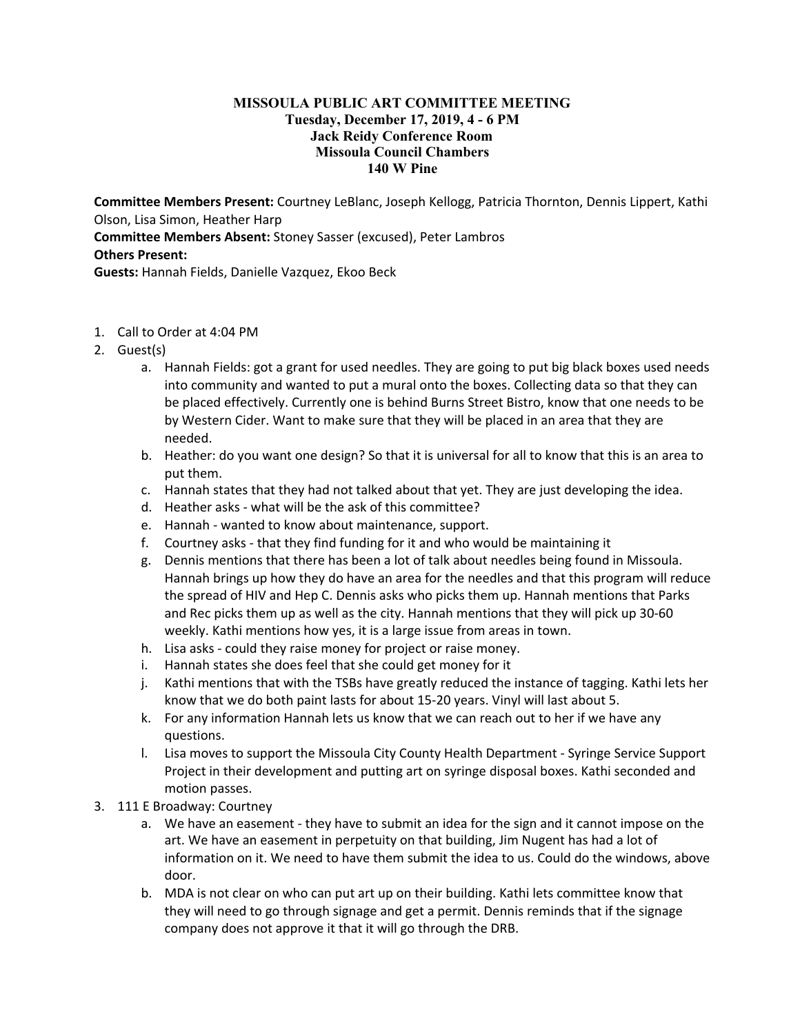## **MISSOULA PUBLIC ART COMMITTEE MEETING Tuesday, December 17, 2019, 4 - 6 PM Jack Reidy Conference Room Missoula Council Chambers 140 W Pine**

**Committee Members Present:** Courtney LeBlanc, Joseph Kellogg, Patricia Thornton, Dennis Lippert, Kathi Olson, Lisa Simon, Heather Harp **Committee Members Absent:** Stoney Sasser (excused), Peter Lambros **Others Present:**

**Guests:** Hannah Fields, Danielle Vazquez, Ekoo Beck

- 1. Call to Order at 4:04 PM
- 2. Guest(s)
	- a. Hannah Fields: got a grant for used needles. They are going to put big black boxes used needs into community and wanted to put a mural onto the boxes. Collecting data so that they can be placed effectively. Currently one is behind Burns Street Bistro, know that one needs to be by Western Cider. Want to make sure that they will be placed in an area that they are needed.
	- b. Heather: do you want one design? So that it is universal for all to know that this is an area to put them.
	- c. Hannah states that they had not talked about that yet. They are just developing the idea.
	- d. Heather asks what will be the ask of this committee?
	- e. Hannah wanted to know about maintenance, support.
	- f. Courtney asks that they find funding for it and who would be maintaining it
	- g. Dennis mentions that there has been a lot of talk about needles being found in Missoula. Hannah brings up how they do have an area for the needles and that this program will reduce the spread of HIV and Hep C. Dennis asks who picks them up. Hannah mentions that Parks and Rec picks them up as well as the city. Hannah mentions that they will pick up 30-60 weekly. Kathi mentions how yes, it is a large issue from areas in town.
	- h. Lisa asks could they raise money for project or raise money.
	- i. Hannah states she does feel that she could get money for it
	- j. Kathi mentions that with the TSBs have greatly reduced the instance of tagging. Kathi lets her know that we do both paint lasts for about 15-20 years. Vinyl will last about 5.
	- k. For any information Hannah lets us know that we can reach out to her if we have any questions.
	- l. Lisa moves to support the Missoula City County Health Department Syringe Service Support Project in their development and putting art on syringe disposal boxes. Kathi seconded and motion passes.
- 3. 111 E Broadway: Courtney
	- a. We have an easement they have to submit an idea for the sign and it cannot impose on the art. We have an easement in perpetuity on that building, Jim Nugent has had a lot of information on it. We need to have them submit the idea to us. Could do the windows, above door.
	- b. MDA is not clear on who can put art up on their building. Kathi lets committee know that they will need to go through signage and get a permit. Dennis reminds that if the signage company does not approve it that it will go through the DRB.